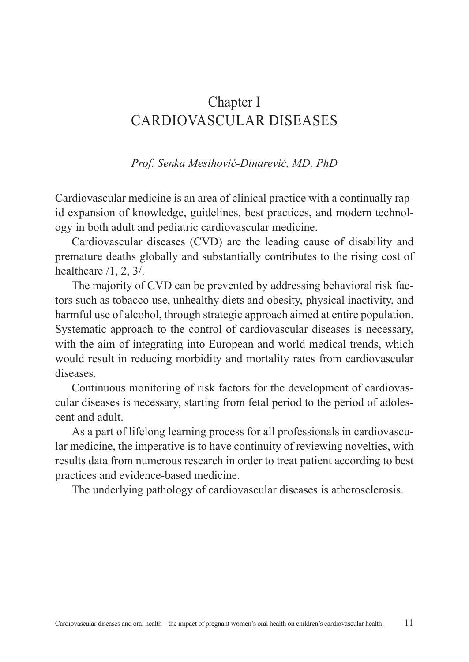# Chapter I CARDIOVASCULAR DISEASES

*Prof. Senka Mesihović-Dinarević, MD, PhD*

Cardiovascular medicine is an area of clinical practice with a continually rapid expansion of knowledge, guidelines, best practices, and modern technology in both adult and pediatric cardiovascular medicine.

Cardiovascular diseases (CVD) are the leading cause of disability and premature deaths globally and substantially contributes to the rising cost of healthcare /1, 2, 3/.

The majority of CVD can be prevented by addressing behavioral risk factors such as tobacco use, unhealthy diets and obesity, physical inactivity, and harmful use of alcohol, through strategic approach aimed at entire population. Systematic approach to the control of cardiovascular diseases is necessary, with the aim of integrating into European and world medical trends, which would result in reducing morbidity and mortality rates from cardiovascular diseases.

Continuous monitoring of risk factors for the development of cardiovascular diseases is necessary, starting from fetal period to the period of adolescent and adult.

As a part of lifelong learning process for all professionals in cardiovascular medicine, the imperative is to have continuity of reviewing novelties, with results data from numerous research in order to treat patient according to best practices and evidence-based medicine.

The underlying pathology of cardiovascular diseases is atherosclerosis.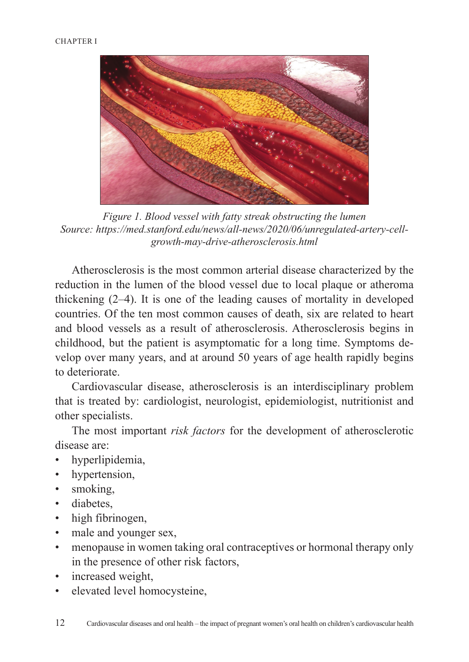

*Figure 1. Blood vessel with fatty streak obstructing the lumen Source: https://med.stanford.edu/news/all-news/2020/06/unregulated-artery-cellgrowth-may-drive-atherosclerosis.html*

Atherosclerosis is the most common arterial disease characterized by the reduction in the lumen of the blood vessel due to local plaque or atheroma thickening (2–4). It is one of the leading causes of mortality in developed countries. Of the ten most common causes of death, six are related to heart and blood vessels as a result of atherosclerosis. Atherosclerosis begins in childhood, but the patient is asymptomatic for a long time. Symptoms develop over many years, and at around 50 years of age health rapidly begins to deteriorate.

Cardiovascular disease, atherosclerosis is an interdisciplinary problem that is treated by: cardiologist, neurologist, epidemiologist, nutritionist and other specialists.

The most important *risk factors* for the development of atherosclerotic disease are:

- hyperlipidemia,
- hypertension,
- smoking,
- diabetes,
- high fibrinogen,
- male and younger sex,
- menopause in women taking oral contraceptives or hormonal therapy only in the presence of other risk factors,
- increased weight,
- elevated level homocysteine,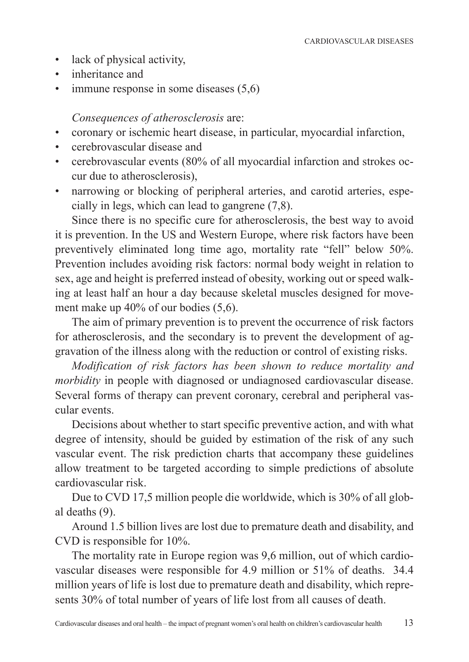- lack of physical activity,
- inheritance and
- immune response in some diseases (5,6)

#### *Consequences of atherosclerosis* are:

- coronary or ischemic heart disease, in particular, myocardial infarction,
- cerebrovascular disease and
- cerebrovascular events (80% of all myocardial infarction and strokes occur due to atherosclerosis),
- narrowing or blocking of peripheral arteries, and carotid arteries, especially in legs, which can lead to gangrene (7,8).

Since there is no specific cure for atherosclerosis, the best way to avoid it is prevention. In the US and Western Europe, where risk factors have been preventively eliminated long time ago, mortality rate "fell" below 50%. Prevention includes avoiding risk factors: normal body weight in relation to sex, age and height is preferred instead of obesity, working out or speed walking at least half an hour a day because skeletal muscles designed for movement make up 40% of our bodies (5,6).

The aim of primary prevention is to prevent the occurrence of risk factors for atherosclerosis, and the secondary is to prevent the development of aggravation of the illness along with the reduction or control of existing risks.

*Modification of risk factors has been shown to reduce mortality and morbidity* in people with diagnosed or undiagnosed cardiovascular disease. Several forms of therapy can prevent coronary, cerebral and peripheral vascular events.

Decisions about whether to start specific preventive action, and with what degree of intensity, should be guided by estimation of the risk of any such vascular event. The risk prediction charts that accompany these guidelines allow treatment to be targeted according to simple predictions of absolute cardiovascular risk.

Due to CVD 17,5 million people die worldwide, which is 30% of all global deaths (9).

Around 1.5 billion lives are lost due to premature death and disability, and CVD is responsible for 10%.

The mortality rate in Europe region was 9,6 million, out of which cardiovascular diseases were responsible for 4.9 million or 51% of deaths. 34.4 million years of life is lost due to premature death and disability, which represents 30% of total number of years of life lost from all causes of death.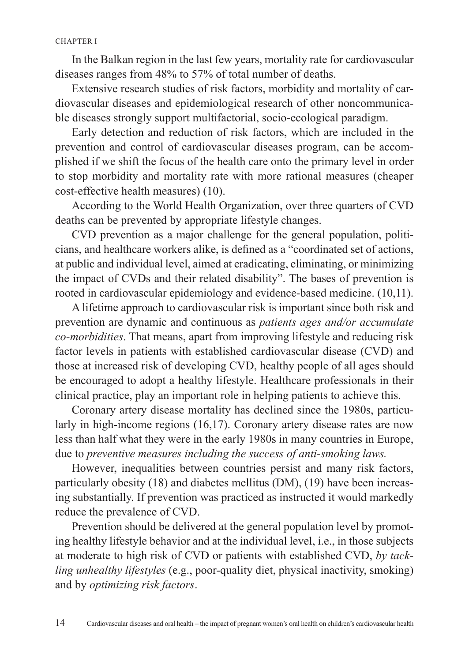In the Balkan region in the last few years, mortality rate for cardiovascular diseases ranges from 48% to 57% of total number of deaths.

Extensive research studies of risk factors, morbidity and mortality of cardiovascular diseases and epidemiological research of other noncommunicable diseases strongly support multifactorial, socio-ecological paradigm.

Early detection and reduction of risk factors, which are included in the prevention and control of cardiovascular diseases program, can be accomplished if we shift the focus of the health care onto the primary level in order to stop morbidity and mortality rate with more rational measures (cheaper cost-effective health measures) (10).

According to the World Health Organization, over three quarters of CVD deaths can be prevented by appropriate lifestyle changes.

CVD prevention as a major challenge for the general population, politicians, and healthcare workers alike, is defined as a "coordinated set of actions, at public and individual level, aimed at eradicating, eliminating, or minimizing the impact of CVDs and their related disability". The bases of prevention is rooted in cardiovascular epidemiology and evidence-based medicine. (10,11).

A lifetime approach to cardiovascular risk is important since both risk and prevention are dynamic and continuous as *patients ages and/or accumulate co-morbidities*. That means, apart from improving lifestyle and reducing risk factor levels in patients with established cardiovascular disease (CVD) and those at increased risk of developing CVD, healthy people of all ages should be encouraged to adopt a healthy lifestyle. Healthcare professionals in their clinical practice, play an important role in helping patients to achieve this.

Coronary artery disease mortality has declined since the 1980s, particularly in high-income regions (16,17). Coronary artery disease rates are now less than half what they were in the early 1980s in many countries in Europe, due to *preventive measures including the success of anti-smoking laws.*

However, inequalities between countries persist and many risk factors, particularly obesity (18) and diabetes mellitus (DM), (19) have been increasing substantially. If prevention was practiced as instructed it would markedly reduce the prevalence of CVD.

Prevention should be delivered at the general population level by promoting healthy lifestyle behavior and at the individual level, i.e., in those subjects at moderate to high risk of CVD or patients with established CVD, *by tackling unhealthy lifestyles* (e.g., poor-quality diet, physical inactivity, smoking) and by *optimizing risk factors*.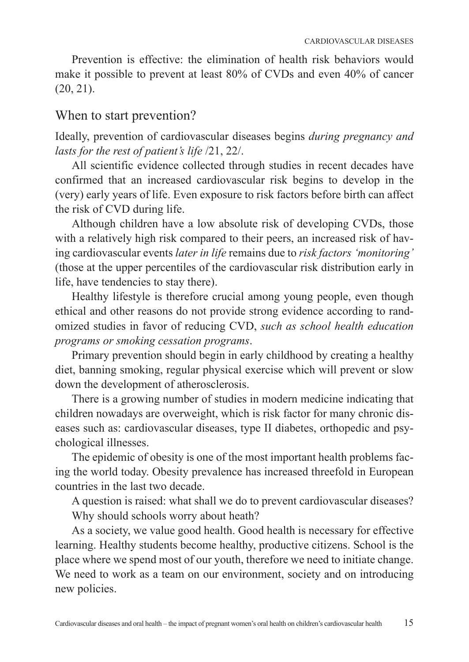Prevention is effective: the elimination of health risk behaviors would make it possible to prevent at least 80% of CVDs and even 40% of cancer  $(20, 21)$ .

### When to start prevention?

Ideally, prevention of cardiovascular diseases begins *during pregnancy and lasts for the rest of patient's life* /21, 22/.

All scientific evidence collected through studies in recent decades have confirmed that an increased cardiovascular risk begins to develop in the (very) early years of life. Even exposure to risk factors before birth can affect the risk of CVD during life.

Although children have a low absolute risk of developing CVDs, those with a relatively high risk compared to their peers, an increased risk of having cardiovascular events *later in life* remains due to *risk factors 'monitoring'* (those at the upper percentiles of the cardiovascular risk distribution early in life, have tendencies to stay there).

Healthy lifestyle is therefore crucial among young people, even though ethical and other reasons do not provide strong evidence according to randomized studies in favor of reducing CVD, *such as school health education programs or smoking cessation programs*.

Primary prevention should begin in early childhood by creating a healthy diet, banning smoking, regular physical exercise which will prevent or slow down the development of atherosclerosis.

There is a growing number of studies in modern medicine indicating that children nowadays are overweight, which is risk factor for many chronic diseases such as: cardiovascular diseases, type II diabetes, orthopedic and psychological illnesses.

The epidemic of obesity is one of the most important health problems facing the world today. Obesity prevalence has increased threefold in European countries in the last two decade.

A question is raised: what shall we do to prevent cardiovascular diseases? Why should schools worry about heath?

As a society, we value good health. Good health is necessary for effective learning. Healthy students become healthy, productive citizens. School is the place where we spend most of our youth, therefore we need to initiate change. We need to work as a team on our environment, society and on introducing new policies.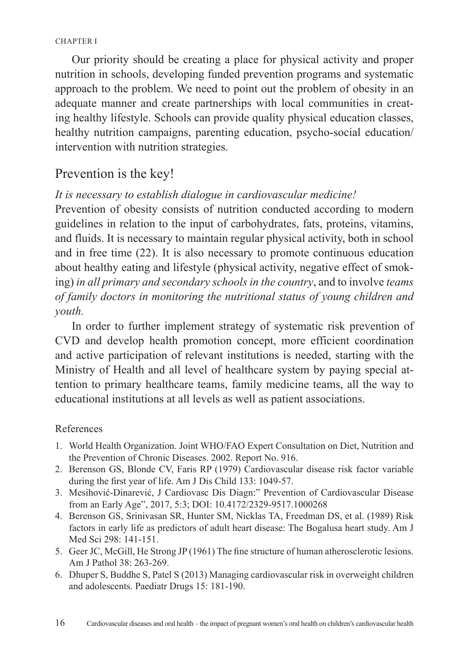Our priority should be creating a place for physical activity and proper nutrition in schools, developing funded prevention programs and systematic approach to the problem. We need to point out the problem of obesity in an adequate manner and create partnerships with local communities in creating healthy lifestyle. Schools can provide quality physical education classes, healthy nutrition campaigns, parenting education, psycho-social education/ intervention with nutrition strategies.

## Prevention is the key!

#### *It is necessary to establish dialogue in cardiovascular medicine!*

Prevention of obesity consists of nutrition conducted according to modern guidelines in relation to the input of carbohydrates, fats, proteins, vitamins, and fluids. It is necessary to maintain regular physical activity, both in school and in free time (22). It is also necessary to promote continuous education about healthy eating and lifestyle (physical activity, negative effect of smoking) *in all primary and secondary schools in the country*, and to involve *teams of family doctors in monitoring the nutritional status of young children and youth.*

In order to further implement strategy of systematic risk prevention of CVD and develop health promotion concept, more efficient coordination and active participation of relevant institutions is needed, starting with the Ministry of Health and all level of healthcare system by paying special attention to primary healthcare teams, family medicine teams, all the way to educational institutions at all levels as well as patient associations.

#### References

- 1. World Health Organization. Joint WHO/FAO Expert Consultation on Diet, Nutrition and the Prevention of Chronic Diseases. 2002. Report No. 916.
- 2. Berenson GS, Blonde CV, Faris RP (1979) Cardiovascular disease risk factor variable during the first year of life. Am J Dis Child 133: 1049-57.
- 3. Mesihović-Dinarević, J Cardiovasc Dis Diagn:" Prevention of Cardiovascular Disease from an Early Age", 2017, 5:3; DOI: 10.4172/2329-9517.1000268
- 4. Berenson GS, Srinivasan SR, Hunter SM, Nicklas TA, Freedman DS, et al. (1989) Risk factors in early life as predictors of adult heart disease: The Bogalusa heart study. Am J Med Sci 298: 141-151.
- 5. Geer JC, McGill, He Strong JP (1961) The fine structure of human atherosclerotic lesions. Am J Pathol 38: 263-269.
- 6. Dhuper S, Buddhe S, Patel S (2013) Managing cardiovascular risk in overweight children and adolescents. Paediatr Drugs 15: 181-190.